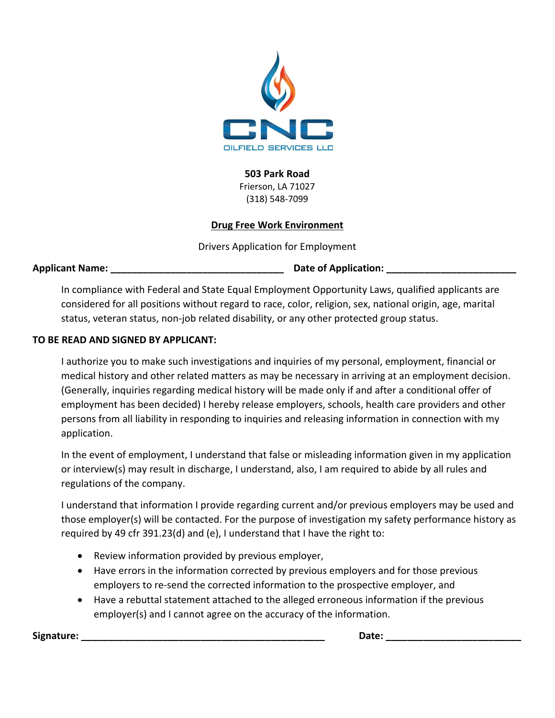

**503 Park Road**

Frierson, LA 71027 (318) 548‐7099

### **Drug Free Work Environment**

Drivers Application for Employment

**Applicant Name: \_\_\_\_\_\_\_\_\_\_\_\_\_\_\_\_\_\_\_\_\_\_\_\_\_\_\_\_\_\_\_\_ Date of Application: \_\_\_\_\_\_\_\_\_\_\_\_\_\_\_\_\_\_\_\_\_\_\_\_**

In compliance with Federal and State Equal Employment Opportunity Laws, qualified applicants are considered for all positions without regard to race, color, religion, sex, national origin, age, marital status, veteran status, non‐job related disability, or any other protected group status.

### **TO BE READ AND SIGNED BY APPLICANT:**

I authorize you to make such investigations and inquiries of my personal, employment, financial or medical history and other related matters as may be necessary in arriving at an employment decision. (Generally, inquiries regarding medical history will be made only if and after a conditional offer of employment has been decided) I hereby release employers, schools, health care providers and other persons from all liability in responding to inquiries and releasing information in connection with my application.

In the event of employment, I understand that false or misleading information given in my application or interview(s) may result in discharge, I understand, also, I am required to abide by all rules and regulations of the company.

I understand that information I provide regarding current and/or previous employers may be used and those employer(s) will be contacted. For the purpose of investigation my safety performance history as required by 49 cfr 391.23(d) and (e), I understand that I have the right to:

- Review information provided by previous employer,
- Have errors in the information corrected by previous employers and for those previous employers to re‐send the corrected information to the prospective employer, and
- Have a rebuttal statement attached to the alleged erroneous information if the previous employer(s) and I cannot agree on the accuracy of the information.

**Signature: \_\_\_\_\_\_\_\_\_\_\_\_\_\_\_\_\_\_\_\_\_\_\_\_\_\_\_\_\_\_\_\_\_\_\_\_\_\_\_\_\_\_\_\_\_ Date: \_\_\_\_\_\_\_\_\_\_\_\_\_\_\_\_\_\_\_\_\_\_\_\_\_**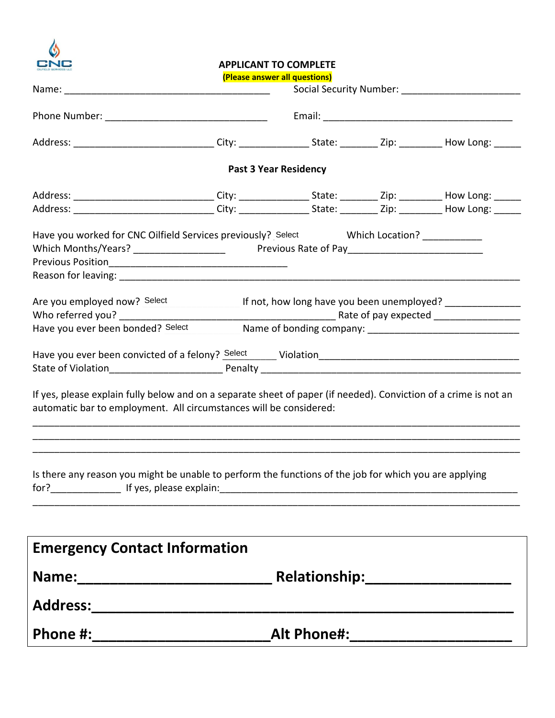

### **APPLICANT TO COMPLETE**

**(Please answer all questions)** 

|                                                                                                                                                                                                     | <u>(Please answer all questions)</u> |                              |  |  |  |  |
|-----------------------------------------------------------------------------------------------------------------------------------------------------------------------------------------------------|--------------------------------------|------------------------------|--|--|--|--|
|                                                                                                                                                                                                     |                                      |                              |  |  |  |  |
| Address: ________________________________City: __________________________________Zip: _____________How Long: ______                                                                                 |                                      |                              |  |  |  |  |
|                                                                                                                                                                                                     |                                      | <b>Past 3 Year Residency</b> |  |  |  |  |
| Address: ________________________________City: _________________State: __________Zip: ___________How Long: ______                                                                                   |                                      |                              |  |  |  |  |
| Address: _______________________________City: __________________________________Zip: ______________How Long: _______                                                                                |                                      |                              |  |  |  |  |
| Have you worked for CNC Oilfield Services previously? Select Which Location? __________                                                                                                             |                                      |                              |  |  |  |  |
| Are you employed now? Select ______________________ If not, how long have you been unemployed? _______________<br>Have you ever been bonded? Select Mame of bonding company: ______________________ |                                      |                              |  |  |  |  |
|                                                                                                                                                                                                     |                                      |                              |  |  |  |  |
| If yes, please explain fully below and on a separate sheet of paper (if needed). Conviction of a crime is not an<br>automatic bar to employment. All circumstances will be considered:              |                                      |                              |  |  |  |  |
| Is there any reason you might be unable to perform the functions of the job for which you are applying                                                                                              |                                      |                              |  |  |  |  |
| <b>Emergency Contact Information</b>                                                                                                                                                                |                                      |                              |  |  |  |  |
|                                                                                                                                                                                                     |                                      |                              |  |  |  |  |
|                                                                                                                                                                                                     |                                      |                              |  |  |  |  |
|                                                                                                                                                                                                     |                                      |                              |  |  |  |  |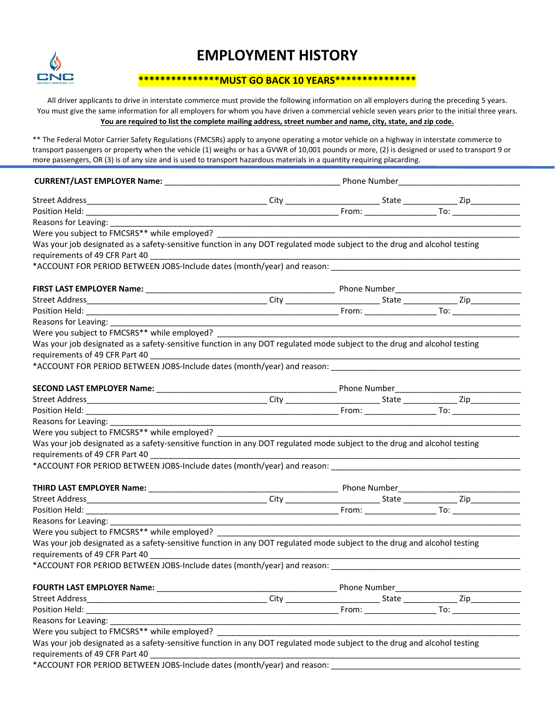

## **EMPLOYMENT HISTORY**

### **\*\*\*\*\*\*\*\*\*\*\*\*\*\*\*MUST GO BACK 10 YEARS\*\*\*\*\*\*\*\*\*\*\*\*\*\*\***

All driver applicants to drive in interstate commerce must provide the following information on all employers during the preceding 5 years. You must give the same information for all employers for whom you have driven a commercial vehicle seven years prior to the initial three years. You are required to list the complete mailing address, street number and name, city, state, and zip code.

\*\* The Federal Motor Carrier Safety Regulations (FMCSRs) apply to anyone operating a motor vehicle on a highway in interstate commerce to transport passengers or property when the vehicle (1) weighs or has a GVWR of 10,001 pounds or more, (2) is designed or used to transport 9 or more passengers, OR (3) is of any size and is used to transport hazardous materials in a quantity requiring placarding.

| Reasons for Leaving: __                                                                                                  |                                                                                           |  |  |  |  |
|--------------------------------------------------------------------------------------------------------------------------|-------------------------------------------------------------------------------------------|--|--|--|--|
| Were you subject to FMCSRS** while employed? _                                                                           |                                                                                           |  |  |  |  |
| Was your job designated as a safety-sensitive function in any DOT regulated mode subject to the drug and alcohol testing |                                                                                           |  |  |  |  |
|                                                                                                                          |                                                                                           |  |  |  |  |
| *ACCOUNT FOR PERIOD BETWEEN JOBS-Include dates (month/year) and reason:                                                  |                                                                                           |  |  |  |  |
|                                                                                                                          |                                                                                           |  |  |  |  |
|                                                                                                                          |                                                                                           |  |  |  |  |
|                                                                                                                          |                                                                                           |  |  |  |  |
| Reasons for Leaving:                                                                                                     |                                                                                           |  |  |  |  |
| Were you subject to FMCSRS** while employed? ____                                                                        |                                                                                           |  |  |  |  |
| Was your job designated as a safety-sensitive function in any DOT regulated mode subject to the drug and alcohol testing |                                                                                           |  |  |  |  |
| requirements of 49 CFR Part 40 ___________                                                                               |                                                                                           |  |  |  |  |
| *ACCOUNT FOR PERIOD BETWEEN JOBS-Include dates (month/year) and reason: _____________                                    |                                                                                           |  |  |  |  |
|                                                                                                                          |                                                                                           |  |  |  |  |
|                                                                                                                          |                                                                                           |  |  |  |  |
|                                                                                                                          |                                                                                           |  |  |  |  |
|                                                                                                                          |                                                                                           |  |  |  |  |
| Reasons for Leaving: ___________                                                                                         |                                                                                           |  |  |  |  |
| Were you subject to FMCSRS** while employed? _______                                                                     |                                                                                           |  |  |  |  |
| Was your job designated as a safety-sensitive function in any DOT regulated mode subject to the drug and alcohol testing |                                                                                           |  |  |  |  |
| requirements of 49 CFR Part 40                                                                                           |                                                                                           |  |  |  |  |
| *ACCOUNT FOR PERIOD BETWEEN JOBS-Include dates (month/year) and reason: ____________________________                     |                                                                                           |  |  |  |  |
|                                                                                                                          |                                                                                           |  |  |  |  |
|                                                                                                                          |                                                                                           |  |  |  |  |
|                                                                                                                          |                                                                                           |  |  |  |  |
|                                                                                                                          |                                                                                           |  |  |  |  |
| Reasons for Leaving:                                                                                                     |                                                                                           |  |  |  |  |
| Were you subject to FMCSRS** while employed? ___________________________________                                         |                                                                                           |  |  |  |  |
| Was your job designated as a safety-sensitive function in any DOT regulated mode subject to the drug and alcohol testing |                                                                                           |  |  |  |  |
|                                                                                                                          |                                                                                           |  |  |  |  |
| *ACCOUNT FOR PERIOD BETWEEN JOBS-Include dates (month/year) and reason:                                                  |                                                                                           |  |  |  |  |
|                                                                                                                          |                                                                                           |  |  |  |  |
|                                                                                                                          |                                                                                           |  |  |  |  |
|                                                                                                                          |                                                                                           |  |  |  |  |
| Reasons for Leaving:                                                                                                     | the control of the control of the control of the control of the control of the control of |  |  |  |  |
| Were you subject to FMCSRS** while employed? ____                                                                        |                                                                                           |  |  |  |  |
| Was your job designated as a safety-sensitive function in any DOT regulated mode subject to the drug and alcohol testing |                                                                                           |  |  |  |  |
| requirements of 49 CFR Part 40                                                                                           |                                                                                           |  |  |  |  |
| *ACCOUNT FOR PERIOD BETWEEN JOBS-Include dates (month/year) and reason:                                                  |                                                                                           |  |  |  |  |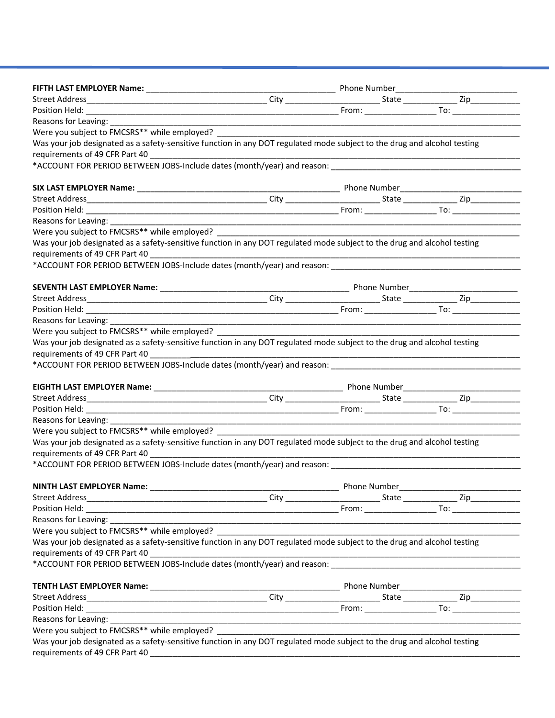|                                                                                                                          |  | From: To: To: |
|--------------------------------------------------------------------------------------------------------------------------|--|---------------|
| Reasons for Leaving: __________                                                                                          |  |               |
| Were you subject to FMCSRS** while employed? ___________________________________                                         |  |               |
| Was your job designated as a safety-sensitive function in any DOT regulated mode subject to the drug and alcohol testing |  |               |
| requirements of 49 CFR Part 40                                                                                           |  |               |
| *ACCOUNT FOR PERIOD BETWEEN JOBS-Include dates (month/year) and reason:                                                  |  |               |
|                                                                                                                          |  |               |
|                                                                                                                          |  |               |
|                                                                                                                          |  |               |
| Reasons for Leaving: ________                                                                                            |  |               |
| Were you subject to FMCSRS** while employed?                                                                             |  |               |
| Was your job designated as a safety-sensitive function in any DOT regulated mode subject to the drug and alcohol testing |  |               |
| requirements of 49 CFR Part 40                                                                                           |  |               |
|                                                                                                                          |  |               |
|                                                                                                                          |  |               |
|                                                                                                                          |  |               |
|                                                                                                                          |  |               |
|                                                                                                                          |  |               |
| Reasons for Leaving:                                                                                                     |  |               |
| Were you subject to FMCSRS** while employed?                                                                             |  |               |
| Was your job designated as a safety-sensitive function in any DOT regulated mode subject to the drug and alcohol testing |  |               |
| requirements of 49 CFR Part 40                                                                                           |  |               |
| *ACCOUNT FOR PERIOD BETWEEN JOBS-Include dates (month/year) and reason:                                                  |  |               |
|                                                                                                                          |  |               |
|                                                                                                                          |  |               |
|                                                                                                                          |  |               |
|                                                                                                                          |  |               |
| Reasons for Leaving:                                                                                                     |  |               |
| Were you subject to FMCSRS** while employed?                                                                             |  |               |
| Was your job designated as a safety-sensitive function in any DOT regulated mode subject to the drug and alcohol testing |  |               |
| requirements of 49 CFR Part 40                                                                                           |  |               |
| *ACCOUNT FOR PERIOD BETWEEN JOBS-Include dates (month/year) and reason:                                                  |  |               |
|                                                                                                                          |  |               |
|                                                                                                                          |  |               |
|                                                                                                                          |  |               |
|                                                                                                                          |  |               |
| Reasons for Leaving: _________                                                                                           |  |               |
|                                                                                                                          |  |               |
| Was your job designated as a safety-sensitive function in any DOT regulated mode subject to the drug and alcohol testing |  |               |
| requirements of 49 CFR Part 40                                                                                           |  |               |
| *ACCOUNT FOR PERIOD BETWEEN JOBS-Include dates (month/year) and reason: National Communication of the control of         |  |               |
|                                                                                                                          |  |               |
|                                                                                                                          |  |               |
|                                                                                                                          |  |               |
|                                                                                                                          |  |               |
|                                                                                                                          |  |               |
| Were you subject to FMCSRS** while employed? ___________________________________                                         |  |               |
| Was your job designated as a safety-sensitive function in any DOT regulated mode subject to the drug and alcohol testing |  |               |
| requirements of 49 CFR Part 40                                                                                           |  |               |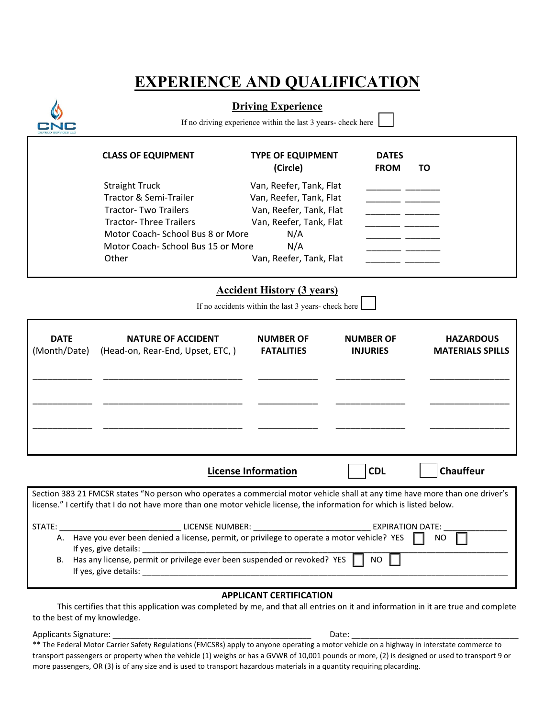## **EXPERIENCE AND QUALIFICATION**



**Driving Experience** 

If no driving experience within the last 3 years- check here

|                             | <b>CLASS OF EQUIPMENT</b>                                                                                                                                                                                                                              | <b>TYPE OF EQUIPMENT</b><br>(Circle)                                                     | <b>DATES</b><br><b>FROM</b>         | ΤO                                          |
|-----------------------------|--------------------------------------------------------------------------------------------------------------------------------------------------------------------------------------------------------------------------------------------------------|------------------------------------------------------------------------------------------|-------------------------------------|---------------------------------------------|
|                             | <b>Straight Truck</b>                                                                                                                                                                                                                                  | Van, Reefer, Tank, Flat                                                                  |                                     |                                             |
|                             | Tractor & Semi-Trailer                                                                                                                                                                                                                                 | Van, Reefer, Tank, Flat                                                                  |                                     |                                             |
|                             | <b>Tractor- Two Trailers</b>                                                                                                                                                                                                                           | Van, Reefer, Tank, Flat                                                                  |                                     |                                             |
|                             | <b>Tractor-Three Trailers</b>                                                                                                                                                                                                                          | Van, Reefer, Tank, Flat                                                                  |                                     |                                             |
|                             | Motor Coach- School Bus 8 or More                                                                                                                                                                                                                      | N/A                                                                                      |                                     |                                             |
|                             | Motor Coach-School Bus 15 or More                                                                                                                                                                                                                      | N/A                                                                                      |                                     |                                             |
|                             | Other                                                                                                                                                                                                                                                  | Van, Reefer, Tank, Flat                                                                  |                                     |                                             |
|                             |                                                                                                                                                                                                                                                        | <b>Accident History (3 years)</b><br>If no accidents within the last 3 years- check here |                                     |                                             |
| <b>DATE</b><br>(Month/Date) | <b>NATURE OF ACCIDENT</b><br>(Head-on, Rear-End, Upset, ETC,)                                                                                                                                                                                          | <b>NUMBER OF</b><br><b>FATALITIES</b>                                                    | <b>NUMBER OF</b><br><b>INJURIES</b> | <b>HAZARDOUS</b><br><b>MATERIALS SPILLS</b> |
|                             |                                                                                                                                                                                                                                                        |                                                                                          |                                     |                                             |
|                             |                                                                                                                                                                                                                                                        | <b>License Information</b>                                                               | <b>CDL</b>                          | <b>Chauffeur</b>                            |
|                             | Section 383 21 FMCSR states "No person who operates a commercial motor vehicle shall at any time have more than one driver's<br>license." I certify that I do not have more than one motor vehicle license, the information for which is listed below. |                                                                                          |                                     |                                             |
| STATE:                      | LICENSE NUMBER: NEWSLETTER AND THE RESERVE THE RESERVE THAT AND THE RESERVE THAT AN ALL AND THE RESERVE THAT A                                                                                                                                         |                                                                                          | <b>EXPIRATION DATE:</b>             |                                             |
|                             | A. Have you ever been denied a license, permit, or privilege to operate a motor vehicle? YES                                                                                                                                                           |                                                                                          |                                     | NO.                                         |
|                             | B. Has any license, permit or privilege ever been suspended or revoked? YES                                                                                                                                                                            |                                                                                          | NO                                  |                                             |
|                             |                                                                                                                                                                                                                                                        |                                                                                          |                                     |                                             |

### **APPLICANT CERTIFICATION**

 This certifies that this application was completed by me, and that all entries on it and information in it are true and complete to the best of my knowledge.

Applicants Signature: \_\_\_\_\_\_\_\_\_\_\_\_\_\_\_\_\_\_\_\_\_\_\_\_\_\_\_\_\_\_\_\_\_\_\_\_\_\_\_\_\_\_\_\_ Date: \_\_\_\_\_\_\_\_\_\_\_\_\_\_\_\_\_\_\_\_\_\_\_\_\_\_\_\_\_\_\_\_\_\_\_\_\_

\*\* The Federal Motor Carrier Safety Regulations (FMCSRs) apply to anyone operating a motor vehicle on a highway in interstate commerce to transport passengers or property when the vehicle (1) weighs or has a GVWR of 10,001 pounds or more, (2) is designed or used to transport 9 or more passengers, OR (3) is of any size and is used to transport hazardous materials in a quantity requiring placarding.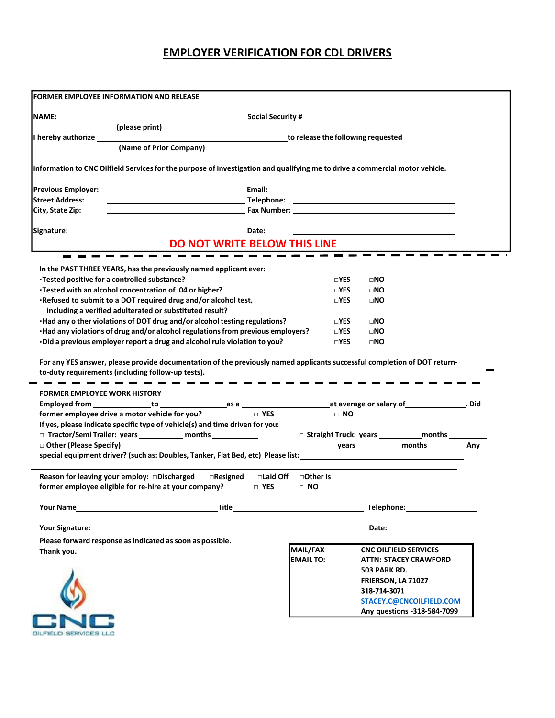### **EMPLOYER VERIFICATION FOR CDL DRIVERS**

|                                     | (please print)                                                                                                                                                                                                                 |                                                                                                                       |               |                                                                                                                                                                                                                                |  |
|-------------------------------------|--------------------------------------------------------------------------------------------------------------------------------------------------------------------------------------------------------------------------------|-----------------------------------------------------------------------------------------------------------------------|---------------|--------------------------------------------------------------------------------------------------------------------------------------------------------------------------------------------------------------------------------|--|
|                                     |                                                                                                                                                                                                                                |                                                                                                                       |               | to release the following requested                                                                                                                                                                                             |  |
|                                     | (Name of Prior Company)                                                                                                                                                                                                        |                                                                                                                       |               |                                                                                                                                                                                                                                |  |
|                                     | information to CNC Oilfield Services for the purpose of investigation and qualifying me to drive a commercial motor vehicle.                                                                                                   |                                                                                                                       |               |                                                                                                                                                                                                                                |  |
| <b>Previous Employer:</b>           |                                                                                                                                                                                                                                | Email:                                                                                                                |               |                                                                                                                                                                                                                                |  |
| <b>Street Address:</b>              |                                                                                                                                                                                                                                |                                                                                                                       |               |                                                                                                                                                                                                                                |  |
| City, State Zip:                    |                                                                                                                                                                                                                                |                                                                                                                       |               | Fax Number: University of the Second Second Second Second Second Second Second Second Second Second Second Second Second Second Second Second Second Second Second Second Second Second Second Second Second Second Second Sec |  |
|                                     |                                                                                                                                                                                                                                | Date:                                                                                                                 |               |                                                                                                                                                                                                                                |  |
|                                     | <b>DO NOT WRITE BELOW THIS LINE</b>                                                                                                                                                                                            |                                                                                                                       |               |                                                                                                                                                                                                                                |  |
|                                     |                                                                                                                                                                                                                                |                                                                                                                       |               |                                                                                                                                                                                                                                |  |
|                                     | In the PAST THREE YEARS, has the previously named applicant ever:<br>•Tested positive for a controlled substance?                                                                                                              |                                                                                                                       | $\square$ YES | $\square$ NO                                                                                                                                                                                                                   |  |
|                                     | •Tested with an alcohol concentration of .04 or higher?                                                                                                                                                                        |                                                                                                                       | $\square$ YES | $\square$ NO                                                                                                                                                                                                                   |  |
|                                     | -Refused to submit to a DOT required drug and/or alcohol test,                                                                                                                                                                 |                                                                                                                       | $\square$ YES | $\square$ NO                                                                                                                                                                                                                   |  |
|                                     | including a verified adulterated or substituted result?                                                                                                                                                                        |                                                                                                                       |               |                                                                                                                                                                                                                                |  |
|                                     | •Had any o ther violations of DOT drug and/or alcohol testing regulations?                                                                                                                                                     |                                                                                                                       | $\square$ Yes | $\square$ NO                                                                                                                                                                                                                   |  |
|                                     | •Had any violations of drug and/or alcohol regulations from previous employers?                                                                                                                                                |                                                                                                                       | $\square$ YES | $\square$ NO                                                                                                                                                                                                                   |  |
|                                     | -Did a previous employer report a drug and alcohol rule violation to you?                                                                                                                                                      |                                                                                                                       | $\square$ YES | $\square$ NO                                                                                                                                                                                                                   |  |
|                                     | For any YES answer, please provide documentation of the previously named applicants successful completion of DOT return-<br>to-duty requirements (including follow-up tests).                                                  |                                                                                                                       |               |                                                                                                                                                                                                                                |  |
| <b>FORMER EMPLOYEE WORK HISTORY</b> |                                                                                                                                                                                                                                |                                                                                                                       |               |                                                                                                                                                                                                                                |  |
|                                     |                                                                                                                                                                                                                                | $\sqcap$ YES                                                                                                          | $\Box$ NO     |                                                                                                                                                                                                                                |  |
|                                     | former employee drive a motor vehicle for you?                                                                                                                                                                                 |                                                                                                                       |               |                                                                                                                                                                                                                                |  |
|                                     | If yes, please indicate specific type of vehicle(s) and time driven for you:<br>□ Tractor/Semi Trailer: years ____________ months ____________                                                                                 |                                                                                                                       |               |                                                                                                                                                                                                                                |  |
| □ Other (Please Specify)<br>□       |                                                                                                                                                                                                                                |                                                                                                                       |               |                                                                                                                                                                                                                                |  |
|                                     | special equipment driver? (such as: Doubles, Tanker, Flat Bed, etc) Please list: _____________________________                                                                                                                 |                                                                                                                       |               |                                                                                                                                                                                                                                |  |
|                                     | $\Box$ Resigned                                                                                                                                                                                                                | □Laid Off<br>□Other Is                                                                                                |               |                                                                                                                                                                                                                                |  |
|                                     | Reason for leaving your employ: Discharged<br>former employee eligible for re-hire at your company?                                                                                                                            | $\Box$ YES<br>$\Box$ NO                                                                                               |               |                                                                                                                                                                                                                                |  |
|                                     | Your Name <b>Name</b>                                                                                                                                                                                                          | <b>Title Community of the Community of the Community of the Community of the Community of the Community of the Co</b> |               | Telephone: Telephone:                                                                                                                                                                                                          |  |
|                                     |                                                                                                                                                                                                                                |                                                                                                                       |               | Date: the contract of the contract of the contract of the contract of the contract of the contract of the contract of the contract of the contract of the contract of the contract of the contract of the contract of the cont |  |
|                                     | Your Signature: Note: 2008 and 2008 and 2008 and 2008 and 2008 and 2008 and 2008 and 2008 and 2008 and 2008 and 2008 and 2008 and 2008 and 2008 and 2008 and 2008 and 2008 and 2008 and 2008 and 2008 and 2008 and 2008 and 20 |                                                                                                                       |               |                                                                                                                                                                                                                                |  |
|                                     | Please forward response as indicated as soon as possible.                                                                                                                                                                      | <b>MAIL/FAX</b>                                                                                                       |               | <b>CNC OILFIELD SERVICES</b>                                                                                                                                                                                                   |  |
| Thank you.                          |                                                                                                                                                                                                                                | <b>EMAIL TO:</b>                                                                                                      |               | <b>ATTN: STACEY CRAWFORD</b>                                                                                                                                                                                                   |  |
|                                     |                                                                                                                                                                                                                                |                                                                                                                       |               | <b>503 PARK RD.</b>                                                                                                                                                                                                            |  |
|                                     |                                                                                                                                                                                                                                |                                                                                                                       |               | FRIERSON, LA 71027                                                                                                                                                                                                             |  |
|                                     |                                                                                                                                                                                                                                |                                                                                                                       |               | 318-714-3071                                                                                                                                                                                                                   |  |
|                                     |                                                                                                                                                                                                                                |                                                                                                                       |               | STACEY.C@CNCOILFIELD.COM                                                                                                                                                                                                       |  |
|                                     |                                                                                                                                                                                                                                |                                                                                                                       |               | Any questions -318-584-7099                                                                                                                                                                                                    |  |
|                                     |                                                                                                                                                                                                                                |                                                                                                                       |               |                                                                                                                                                                                                                                |  |
|                                     |                                                                                                                                                                                                                                |                                                                                                                       |               |                                                                                                                                                                                                                                |  |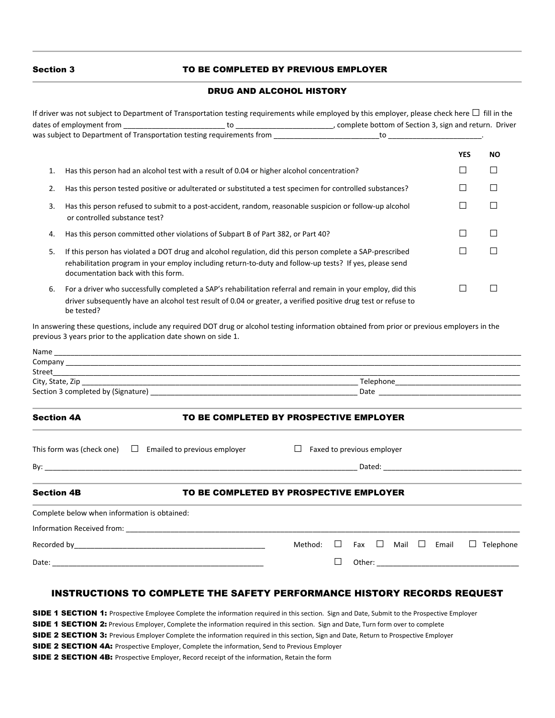#### Section 3TO BE COMPLETED BY PREVIOUS EMPLOYER

### DRUG AND ALCOHOL HISTORY

|                                                                                                                                                                                                                                                                  | <b>YES</b> | <b>NO</b>        |  |  |
|------------------------------------------------------------------------------------------------------------------------------------------------------------------------------------------------------------------------------------------------------------------|------------|------------------|--|--|
| Has this person had an alcohol test with a result of 0.04 or higher alcohol concentration?<br>1.                                                                                                                                                                 | $\Box$     | $\Box$           |  |  |
| Has this person tested positive or adulterated or substituted a test specimen for controlled substances?<br>2.                                                                                                                                                   | П          | $\Box$           |  |  |
| Has this person refused to submit to a post-accident, random, reasonable suspicion or follow-up alcohol<br>3.<br>or controlled substance test?                                                                                                                   | □          | $\Box$           |  |  |
| Has this person committed other violations of Subpart B of Part 382, or Part 40?<br>4.                                                                                                                                                                           | □          | $\Box$           |  |  |
| If this person has violated a DOT drug and alcohol regulation, did this person complete a SAP-prescribed<br>5.<br>rehabilitation program in your employ including return-to-duty and follow-up tests? If yes, please send<br>documentation back with this form.  | П          | П                |  |  |
| $\Box$<br>ப<br>For a driver who successfully completed a SAP's rehabilitation referral and remain in your employ, did this<br>6.<br>driver subsequently have an alcohol test result of 0.04 or greater, a verified positive drug test or refuse to<br>be tested? |            |                  |  |  |
| In answering these questions, include any required DOT drug or alcohol testing information obtained from prior or previous employers in the<br>previous 3 years prior to the application date shown on side 1.                                                   |            |                  |  |  |
| Street                                                                                                                                                                                                                                                           |            |                  |  |  |
| City, State, Zip                                                                                                                                                                                                                                                 |            |                  |  |  |
| Date and the contract of the contract of the contract of the contract of the contract of the contract of the contract of the contract of the contract of the contract of the contract of the contract of the contract of the c                                   |            |                  |  |  |
| <b>Section 4A</b><br>TO BE COMPLETED BY PROSPECTIVE EMPLOYER                                                                                                                                                                                                     |            |                  |  |  |
| This form was (check one) $\Box$ Emailed to previous employer<br>$\Box$ Faxed to previous employer                                                                                                                                                               |            |                  |  |  |
| Dated: the contract of the contract of the contract of the contract of the contract of the contract of the contract of the contract of the contract of the contract of the contract of the contract of the contract of the con<br>$\mathsf{By:}$                 |            |                  |  |  |
| <b>Section 4B</b><br>TO BE COMPLETED BY PROSPECTIVE EMPLOYER                                                                                                                                                                                                     |            |                  |  |  |
| Complete below when information is obtained:                                                                                                                                                                                                                     |            |                  |  |  |
|                                                                                                                                                                                                                                                                  |            |                  |  |  |
| Method:<br>⊔<br>Fax $\Box$ Mail<br>$\Box$                                                                                                                                                                                                                        | Email      | $\Box$ Telephone |  |  |
| $\Box$                                                                                                                                                                                                                                                           |            |                  |  |  |

### INSTRUCTIONS TO COMPLETE THE SAFETY PERFORMANCE HISTORY RECORDS REQUEST

SIDE 1 SECTION 1: Prospective Employee Complete the information required in this section. Sign and Date, Submit to the Prospective Employer SIDE 1 SECTION 2: Previous Employer, Complete the information required in this section. Sign and Date, Turn form over to complete SIDE 2 SECTION 3: Previous Employer Complete the information required in this section, Sign and Date, Return to Prospective Employer SIDE 2 SECTION 4A: Prospective Employer, Complete the information, Send to Previous Employer SIDE 2 SECTION 4B: Prospective Employer, Record receipt of the information, Retain the form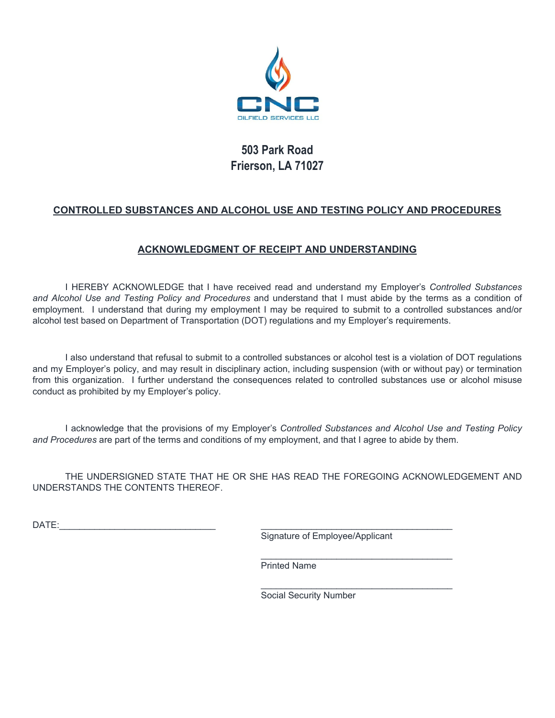

### **503 Park Road Frierson, LA 71027**

### **CONTROLLED SUBSTANCES AND ALCOHOL USE AND TESTING POLICY AND PROCEDURES**

### **ACKNOWLEDGMENT OF RECEIPT AND UNDERSTANDING**

 I HEREBY ACKNOWLEDGE that I have received read and understand my Employer's *Controlled Substances and Alcohol Use and Testing Policy and Procedures* and understand that I must abide by the terms as a condition of employment. I understand that during my employment I may be required to submit to a controlled substances and/or alcohol test based on Department of Transportation (DOT) regulations and my Employer's requirements.

 I also understand that refusal to submit to a controlled substances or alcohol test is a violation of DOT regulations and my Employer's policy, and may result in disciplinary action, including suspension (with or without pay) or termination from this organization. I further understand the consequences related to controlled substances use or alcohol misuse conduct as prohibited by my Employer's policy.

 I acknowledge that the provisions of my Employer's *Controlled Substances and Alcohol Use and Testing Policy and Procedures* are part of the terms and conditions of my employment, and that I agree to abide by them.

 THE UNDERSIGNED STATE THAT HE OR SHE HAS READ THE FOREGOING ACKNOWLEDGEMENT AND UNDERSTANDS THE CONTENTS THEREOF.

 $\Box$ ATE:

Signature of Employee/Applicant

Printed Name

 $\mathcal{L}_\mathcal{L} = \{ \mathcal{L}_\mathcal{L} = \{ \mathcal{L}_\mathcal{L} = \{ \mathcal{L}_\mathcal{L} = \{ \mathcal{L}_\mathcal{L} = \{ \mathcal{L}_\mathcal{L} = \{ \mathcal{L}_\mathcal{L} = \{ \mathcal{L}_\mathcal{L} = \{ \mathcal{L}_\mathcal{L} = \{ \mathcal{L}_\mathcal{L} = \{ \mathcal{L}_\mathcal{L} = \{ \mathcal{L}_\mathcal{L} = \{ \mathcal{L}_\mathcal{L} = \{ \mathcal{L}_\mathcal{L} = \{ \mathcal{L}_\mathcal{$ 

 $\overline{\phantom{a}}$  , and the contract of the contract of the contract of the contract of the contract of the contract of the contract of the contract of the contract of the contract of the contract of the contract of the contrac

Social Security Number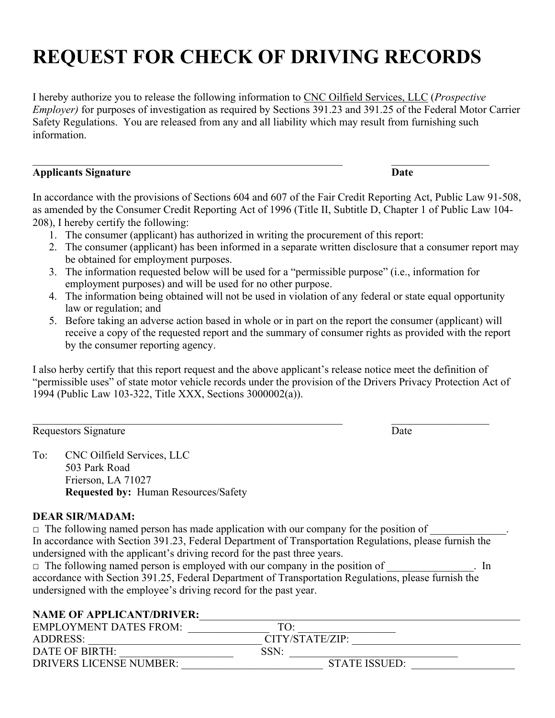# **REQUEST FOR CHECK OF DRIVING RECORDS**

I hereby authorize you to release the following information to CNC Oilfield Services, LLC (*Prospective Employer)* for purposes of investigation as required by Sections 391.23 and 391.25 of the Federal Motor Carrier Safety Regulations. You are released from any and all liability which may result from furnishing such information.

### **Applicants Signature Date**

In accordance with the provisions of Sections 604 and 607 of the Fair Credit Reporting Act, Public Law 91-508, as amended by the Consumer Credit Reporting Act of 1996 (Title II, Subtitle D, Chapter 1 of Public Law 104- 208), I hereby certify the following:

- 1. The consumer (applicant) has authorized in writing the procurement of this report:
- 2. The consumer (applicant) has been informed in a separate written disclosure that a consumer report may be obtained for employment purposes.
- 3. The information requested below will be used for a "permissible purpose" (i.e., information for employment purposes) and will be used for no other purpose.
- 4. The information being obtained will not be used in violation of any federal or state equal opportunity law or regulation; and
- 5. Before taking an adverse action based in whole or in part on the report the consumer (applicant) will receive a copy of the requested report and the summary of consumer rights as provided with the report by the consumer reporting agency.

I also herby certify that this report request and the above applicant's release notice meet the definition of "permissible uses" of state motor vehicle records under the provision of the Drivers Privacy Protection Act of 1994 (Public Law 103-322, Title XXX, Sections 3000002(a)).

Requestors Signature Date

To: CNC Oilfield Services, LLC 503 Park Road Frierson, LA 71027 **Requested by:** Human Resources/Safety

### **DEAR SIR/MADAM:**

 $\Box$  The following named person has made application with our company for the position of In accordance with Section 391.23, Federal Department of Transportation Regulations, please furnish the undersigned with the applicant's driving record for the past three years.  $\Box$  The following named person is employed with our company in the position of  $\Box$  In

accordance with Section 391.25, Federal Department of Transportation Regulations, please furnish the undersigned with the employee's driving record for the past year.

### NAME OF APPLICANT/DRIVER:

| <b>EMPLOYMENT DATES FROM:</b>  | TO:             |  |
|--------------------------------|-----------------|--|
| ADDRESS:                       | CITY/STATE/ZIP: |  |
| DATE OF BIRTH:                 | SSN:            |  |
| <b>DRIVERS LICENSE NUMBER:</b> | STATE ISSUED:   |  |
|                                |                 |  |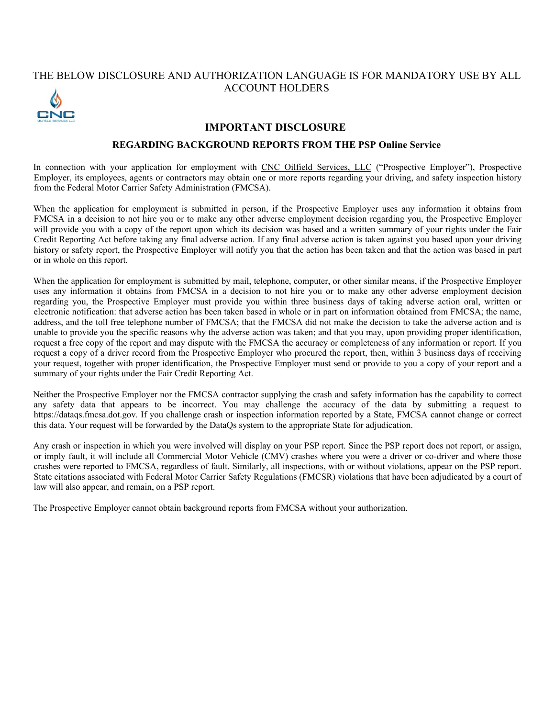### THE BELOW DISCLOSURE AND AUTHORIZATION LANGUAGE IS FOR MANDATORY USE BY ALL ACCOUNT HOLDERS



### **IMPORTANT DISCLOSURE**

### **REGARDING BACKGROUND REPORTS FROM THE PSP Online Service**

In connection with your application for employment with CNC Oilfield Services, LLC ("Prospective Employer"), Prospective Employer, its employees, agents or contractors may obtain one or more reports regarding your driving, and safety inspection history from the Federal Motor Carrier Safety Administration (FMCSA).

When the application for employment is submitted in person, if the Prospective Employer uses any information it obtains from FMCSA in a decision to not hire you or to make any other adverse employment decision regarding you, the Prospective Employer will provide you with a copy of the report upon which its decision was based and a written summary of your rights under the Fair Credit Reporting Act before taking any final adverse action. If any final adverse action is taken against you based upon your driving history or safety report, the Prospective Employer will notify you that the action has been taken and that the action was based in part or in whole on this report.

When the application for employment is submitted by mail, telephone, computer, or other similar means, if the Prospective Employer uses any information it obtains from FMCSA in a decision to not hire you or to make any other adverse employment decision regarding you, the Prospective Employer must provide you within three business days of taking adverse action oral, written or electronic notification: that adverse action has been taken based in whole or in part on information obtained from FMCSA; the name, address, and the toll free telephone number of FMCSA; that the FMCSA did not make the decision to take the adverse action and is unable to provide you the specific reasons why the adverse action was taken; and that you may, upon providing proper identification, request a free copy of the report and may dispute with the FMCSA the accuracy or completeness of any information or report. If you request a copy of a driver record from the Prospective Employer who procured the report, then, within 3 business days of receiving your request, together with proper identification, the Prospective Employer must send or provide to you a copy of your report and a summary of your rights under the Fair Credit Reporting Act.

Neither the Prospective Employer nor the FMCSA contractor supplying the crash and safety information has the capability to correct any safety data that appears to be incorrect. You may challenge the accuracy of the data by submitting a request to https://dataqs.fmcsa.dot.gov. If you challenge crash or inspection information reported by a State, FMCSA cannot change or correct this data. Your request will be forwarded by the DataQs system to the appropriate State for adjudication.

Any crash or inspection in which you were involved will display on your PSP report. Since the PSP report does not report, or assign, or imply fault, it will include all Commercial Motor Vehicle (CMV) crashes where you were a driver or co-driver and where those crashes were reported to FMCSA, regardless of fault. Similarly, all inspections, with or without violations, appear on the PSP report. State citations associated with Federal Motor Carrier Safety Regulations (FMCSR) violations that have been adjudicated by a court of law will also appear, and remain, on a PSP report.

The Prospective Employer cannot obtain background reports from FMCSA without your authorization.